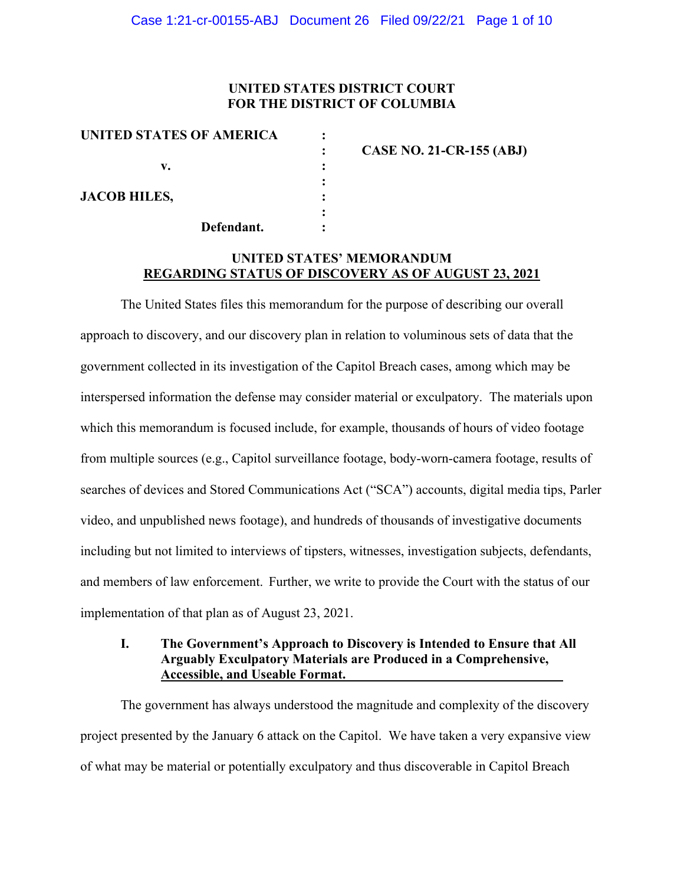## **UNITED STATES DISTRICT COURT FOR THE DISTRICT OF COLUMBIA**

| UNITED STATES OF AMERICA |                                 |
|--------------------------|---------------------------------|
|                          | <b>CASE NO. 21-CR-155 (ABJ)</b> |
| v.                       |                                 |
|                          |                                 |
| <b>JACOB HILES,</b>      |                                 |
|                          |                                 |
| Defendant.               |                                 |

# **UNITED STATES' MEMORANDUM REGARDING STATUS OF DISCOVERY AS OF AUGUST 23, 2021**

The United States files this memorandum for the purpose of describing our overall approach to discovery, and our discovery plan in relation to voluminous sets of data that the government collected in its investigation of the Capitol Breach cases, among which may be interspersed information the defense may consider material or exculpatory. The materials upon which this memorandum is focused include, for example, thousands of hours of video footage from multiple sources (e.g., Capitol surveillance footage, body-worn-camera footage, results of searches of devices and Stored Communications Act ("SCA") accounts, digital media tips, Parler video, and unpublished news footage), and hundreds of thousands of investigative documents including but not limited to interviews of tipsters, witnesses, investigation subjects, defendants, and members of law enforcement. Further, we write to provide the Court with the status of our implementation of that plan as of August 23, 2021.

### **I. The Government's Approach to Discovery is Intended to Ensure that All Arguably Exculpatory Materials are Produced in a Comprehensive, Accessible, and Useable Format.**

The government has always understood the magnitude and complexity of the discovery project presented by the January 6 attack on the Capitol. We have taken a very expansive view of what may be material or potentially exculpatory and thus discoverable in Capitol Breach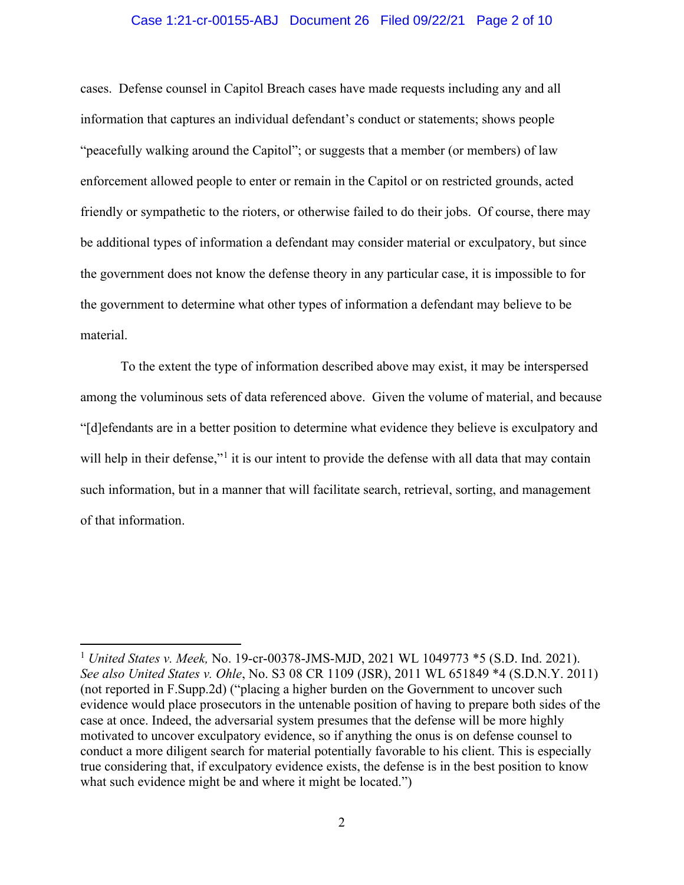#### Case 1:21-cr-00155-ABJ Document 26 Filed 09/22/21 Page 2 of 10

cases. Defense counsel in Capitol Breach cases have made requests including any and all information that captures an individual defendant's conduct or statements; shows people "peacefully walking around the Capitol"; or suggests that a member (or members) of law enforcement allowed people to enter or remain in the Capitol or on restricted grounds, acted friendly or sympathetic to the rioters, or otherwise failed to do their jobs. Of course, there may be additional types of information a defendant may consider material or exculpatory, but since the government does not know the defense theory in any particular case, it is impossible to for the government to determine what other types of information a defendant may believe to be material.

To the extent the type of information described above may exist, it may be interspersed among the voluminous sets of data referenced above. Given the volume of material, and because "[d]efendants are in a better position to determine what evidence they believe is exculpatory and will help in their defense,"<sup>1</sup> it is our intent to provide the defense with all data that may contain such information, but in a manner that will facilitate search, retrieval, sorting, and management of that information.

<sup>1</sup> *United States v. Meek,* No. 19-cr-00378-JMS-MJD, 2021 WL 1049773 \*5 (S.D. Ind. 2021). *See also United States v. Ohle*, No. S3 08 CR 1109 (JSR), 2011 WL 651849 \*4 (S.D.N.Y. 2011) (not reported in F.Supp.2d) ("placing a higher burden on the Government to uncover such evidence would place prosecutors in the untenable position of having to prepare both sides of the case at once. Indeed, the adversarial system presumes that the defense will be more highly motivated to uncover exculpatory evidence, so if anything the onus is on defense counsel to conduct a more diligent search for material potentially favorable to his client. This is especially true considering that, if exculpatory evidence exists, the defense is in the best position to know what such evidence might be and where it might be located.")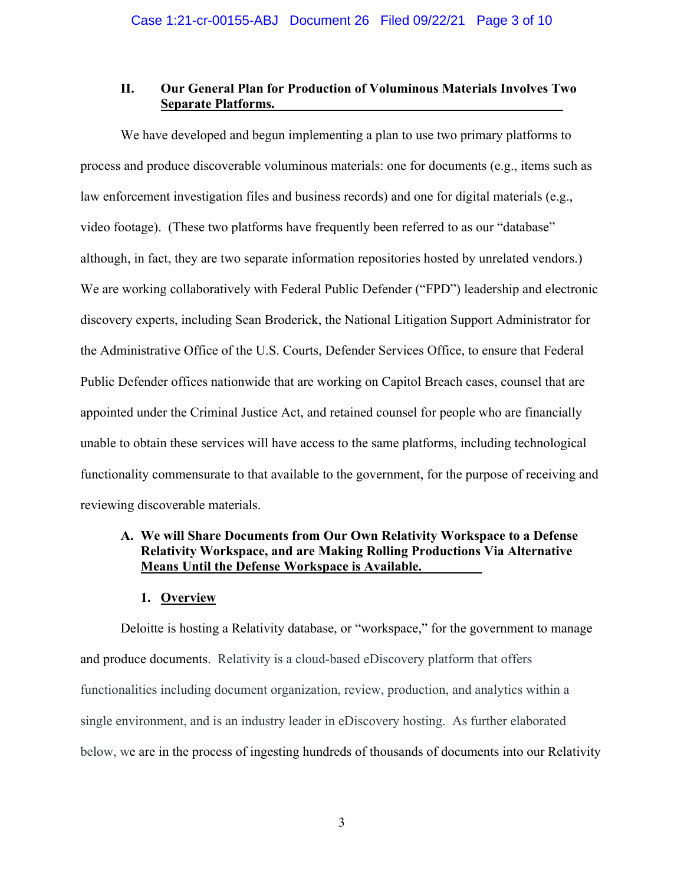# **II. Our General Plan for Production of Voluminous Materials Involves Two Separate Platforms.**

We have developed and begun implementing a plan to use two primary platforms to process and produce discoverable voluminous materials: one for documents (e.g., items such as law enforcement investigation files and business records) and one for digital materials (e.g., video footage). (These two platforms have frequently been referred to as our "database" although, in fact, they are two separate information repositories hosted by unrelated vendors.) We are working collaboratively with Federal Public Defender ("FPD") leadership and electronic discovery experts, including Sean Broderick, the National Litigation Support Administrator for the Administrative Office of the U.S. Courts, Defender Services Office, to ensure that Federal Public Defender offices nationwide that are working on Capitol Breach cases, counsel that are appointed under the Criminal Justice Act, and retained counsel for people who are financially unable to obtain these services will have access to the same platforms, including technological functionality commensurate to that available to the government, for the purpose of receiving and reviewing discoverable materials.

# **A. We will Share Documents from Our Own Relativity Workspace to a Defense Relativity Workspace, and are Making Rolling Productions Via Alternative Means Until the Defense Workspace is Available.**

### **1. Overview**

Deloitte is hosting a Relativity database, or "workspace," for the government to manage and produce documents. Relativity is a cloud-based eDiscovery platform that offers functionalities including document organization, review, production, and analytics within a single environment, and is an industry leader in eDiscovery hosting. As further elaborated below, we are in the process of ingesting hundreds of thousands of documents into our Relativity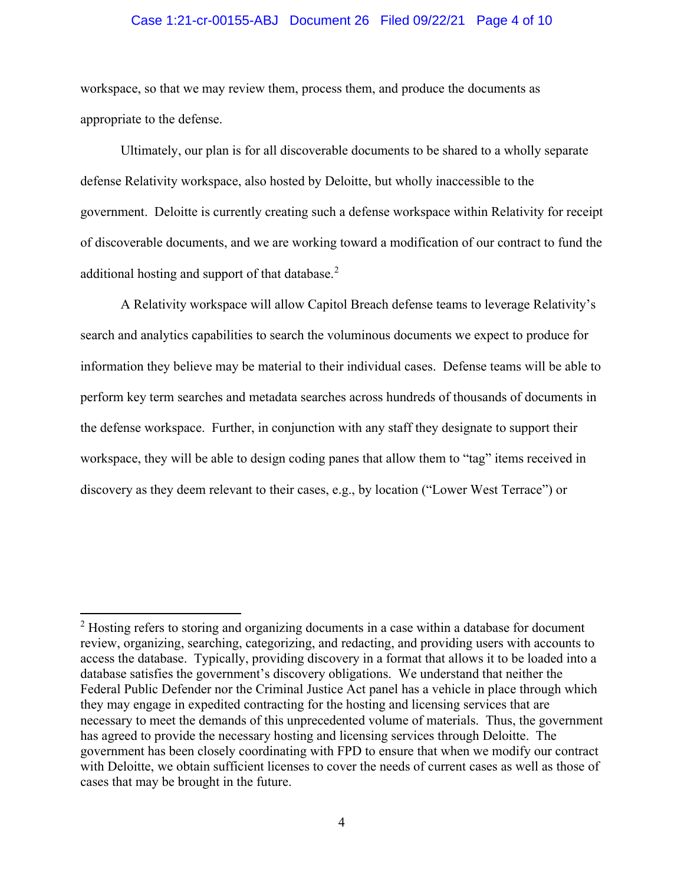#### Case 1:21-cr-00155-ABJ Document 26 Filed 09/22/21 Page 4 of 10

workspace, so that we may review them, process them, and produce the documents as appropriate to the defense.

Ultimately, our plan is for all discoverable documents to be shared to a wholly separate defense Relativity workspace, also hosted by Deloitte, but wholly inaccessible to the government. Deloitte is currently creating such a defense workspace within Relativity for receipt of discoverable documents, and we are working toward a modification of our contract to fund the additional hosting and support of that database.<sup>2</sup>

A Relativity workspace will allow Capitol Breach defense teams to leverage Relativity's search and analytics capabilities to search the voluminous documents we expect to produce for information they believe may be material to their individual cases. Defense teams will be able to perform key term searches and metadata searches across hundreds of thousands of documents in the defense workspace. Further, in conjunction with any staff they designate to support their workspace, they will be able to design coding panes that allow them to "tag" items received in discovery as they deem relevant to their cases, e.g., by location ("Lower West Terrace") or

 $2$  Hosting refers to storing and organizing documents in a case within a database for document review, organizing, searching, categorizing, and redacting, and providing users with accounts to access the database. Typically, providing discovery in a format that allows it to be loaded into a database satisfies the government's discovery obligations. We understand that neither the Federal Public Defender nor the Criminal Justice Act panel has a vehicle in place through which they may engage in expedited contracting for the hosting and licensing services that are necessary to meet the demands of this unprecedented volume of materials. Thus, the government has agreed to provide the necessary hosting and licensing services through Deloitte. The government has been closely coordinating with FPD to ensure that when we modify our contract with Deloitte, we obtain sufficient licenses to cover the needs of current cases as well as those of cases that may be brought in the future.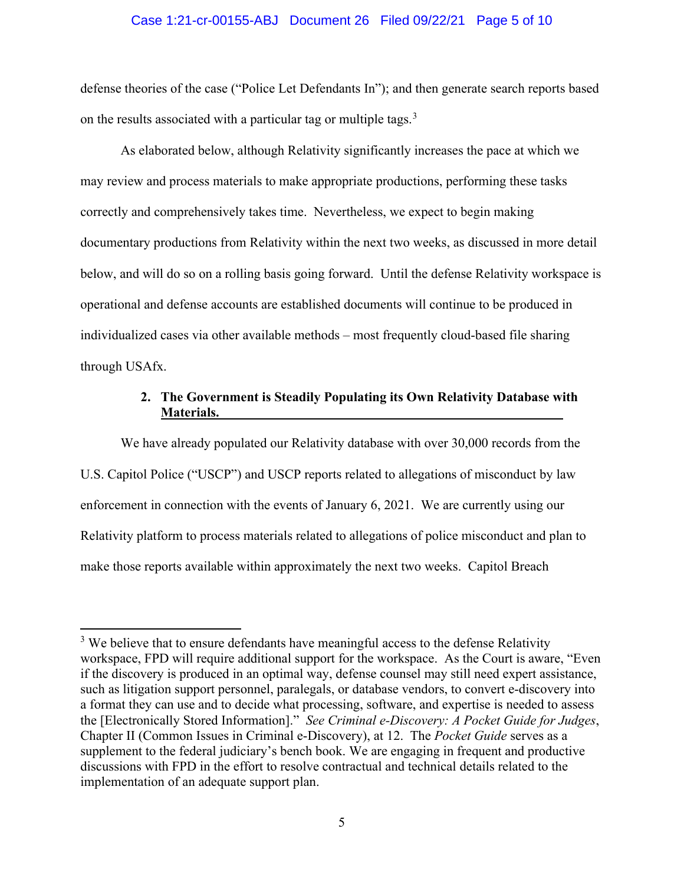#### Case 1:21-cr-00155-ABJ Document 26 Filed 09/22/21 Page 5 of 10

defense theories of the case ("Police Let Defendants In"); and then generate search reports based on the results associated with a particular tag or multiple tags.<sup>3</sup>

As elaborated below, although Relativity significantly increases the pace at which we may review and process materials to make appropriate productions, performing these tasks correctly and comprehensively takes time. Nevertheless, we expect to begin making documentary productions from Relativity within the next two weeks, as discussed in more detail below, and will do so on a rolling basis going forward. Until the defense Relativity workspace is operational and defense accounts are established documents will continue to be produced in individualized cases via other available methods – most frequently cloud-based file sharing through USAfx.

# **2. The Government is Steadily Populating its Own Relativity Database with Materials.**

We have already populated our Relativity database with over 30,000 records from the U.S. Capitol Police ("USCP") and USCP reports related to allegations of misconduct by law enforcement in connection with the events of January 6, 2021. We are currently using our Relativity platform to process materials related to allegations of police misconduct and plan to make those reports available within approximately the next two weeks. Capitol Breach

<sup>&</sup>lt;sup>3</sup> We believe that to ensure defendants have meaningful access to the defense Relativity workspace, FPD will require additional support for the workspace. As the Court is aware, "Even if the discovery is produced in an optimal way, defense counsel may still need expert assistance, such as litigation support personnel, paralegals, or database vendors, to convert e-discovery into a format they can use and to decide what processing, software, and expertise is needed to assess the [Electronically Stored Information]." *See Criminal e-Discovery: A Pocket Guide for Judges*, Chapter II (Common Issues in Criminal e-Discovery), at 12.The *Pocket Guide* serves as a supplement to the federal judiciary's bench book. We are engaging in frequent and productive discussions with FPD in the effort to resolve contractual and technical details related to the implementation of an adequate support plan.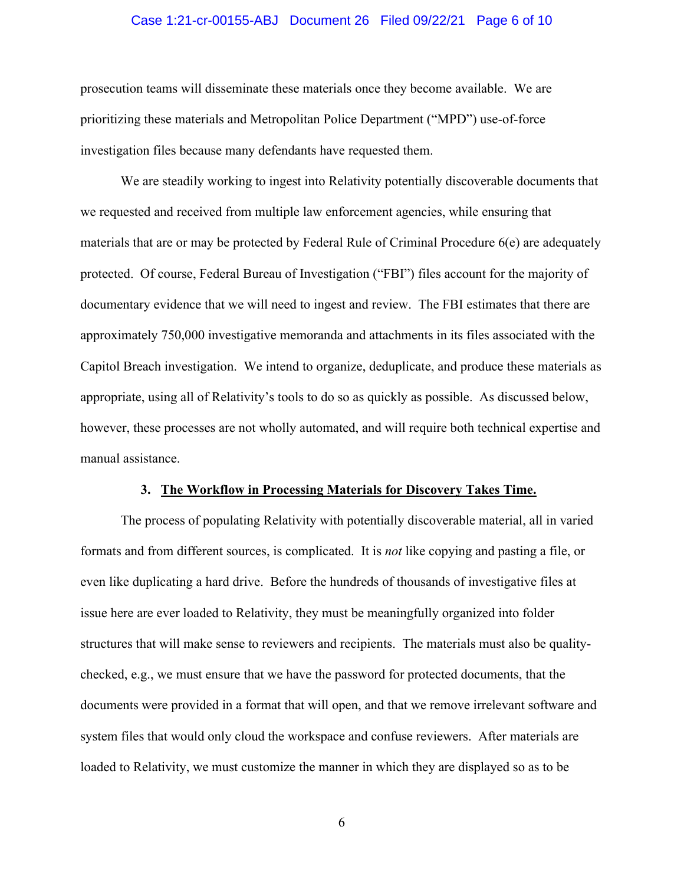#### Case 1:21-cr-00155-ABJ Document 26 Filed 09/22/21 Page 6 of 10

prosecution teams will disseminate these materials once they become available. We are prioritizing these materials and Metropolitan Police Department ("MPD") use-of-force investigation files because many defendants have requested them.

We are steadily working to ingest into Relativity potentially discoverable documents that we requested and received from multiple law enforcement agencies, while ensuring that materials that are or may be protected by Federal Rule of Criminal Procedure 6(e) are adequately protected. Of course, Federal Bureau of Investigation ("FBI") files account for the majority of documentary evidence that we will need to ingest and review. The FBI estimates that there are approximately 750,000 investigative memoranda and attachments in its files associated with the Capitol Breach investigation. We intend to organize, deduplicate, and produce these materials as appropriate, using all of Relativity's tools to do so as quickly as possible. As discussed below, however, these processes are not wholly automated, and will require both technical expertise and manual assistance.

#### **3. The Workflow in Processing Materials for Discovery Takes Time.**

The process of populating Relativity with potentially discoverable material, all in varied formats and from different sources, is complicated. It is *not* like copying and pasting a file, or even like duplicating a hard drive. Before the hundreds of thousands of investigative files at issue here are ever loaded to Relativity, they must be meaningfully organized into folder structures that will make sense to reviewers and recipients. The materials must also be qualitychecked, e.g., we must ensure that we have the password for protected documents, that the documents were provided in a format that will open, and that we remove irrelevant software and system files that would only cloud the workspace and confuse reviewers. After materials are loaded to Relativity, we must customize the manner in which they are displayed so as to be

6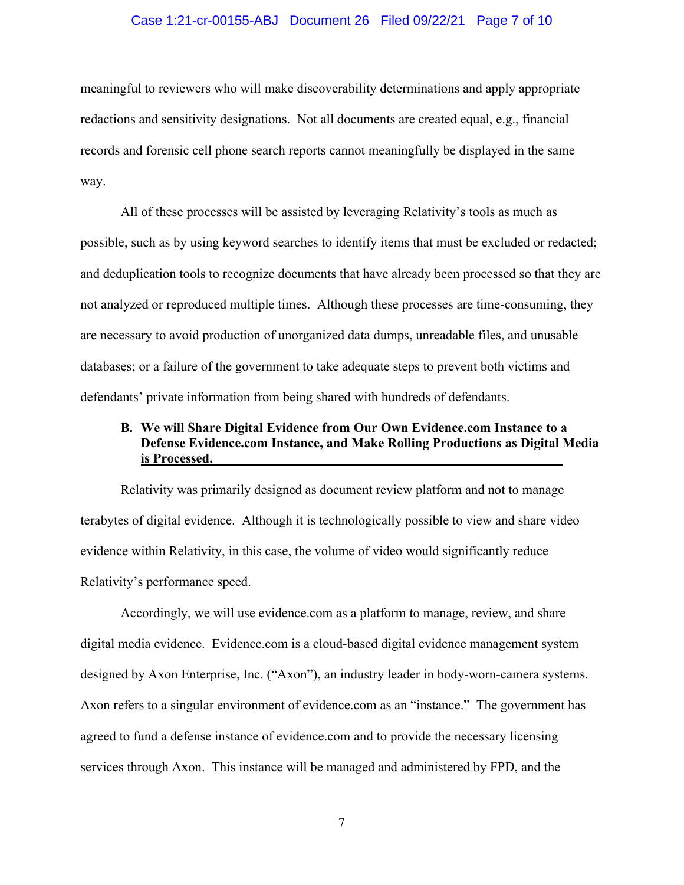#### Case 1:21-cr-00155-ABJ Document 26 Filed 09/22/21 Page 7 of 10

meaningful to reviewers who will make discoverability determinations and apply appropriate redactions and sensitivity designations. Not all documents are created equal, e.g., financial records and forensic cell phone search reports cannot meaningfully be displayed in the same way.

All of these processes will be assisted by leveraging Relativity's tools as much as possible, such as by using keyword searches to identify items that must be excluded or redacted; and deduplication tools to recognize documents that have already been processed so that they are not analyzed or reproduced multiple times. Although these processes are time-consuming, they are necessary to avoid production of unorganized data dumps, unreadable files, and unusable databases; or a failure of the government to take adequate steps to prevent both victims and defendants' private information from being shared with hundreds of defendants.

# **B. We will Share Digital Evidence from Our Own Evidence.com Instance to a Defense Evidence.com Instance, and Make Rolling Productions as Digital Media is Processed.**

Relativity was primarily designed as document review platform and not to manage terabytes of digital evidence. Although it is technologically possible to view and share video evidence within Relativity, in this case, the volume of video would significantly reduce Relativity's performance speed.

Accordingly, we will use evidence.com as a platform to manage, review, and share digital media evidence. Evidence.com is a cloud-based digital evidence management system designed by Axon Enterprise, Inc. ("Axon"), an industry leader in body-worn-camera systems. Axon refers to a singular environment of evidence.com as an "instance." The government has agreed to fund a defense instance of evidence.com and to provide the necessary licensing services through Axon. This instance will be managed and administered by FPD, and the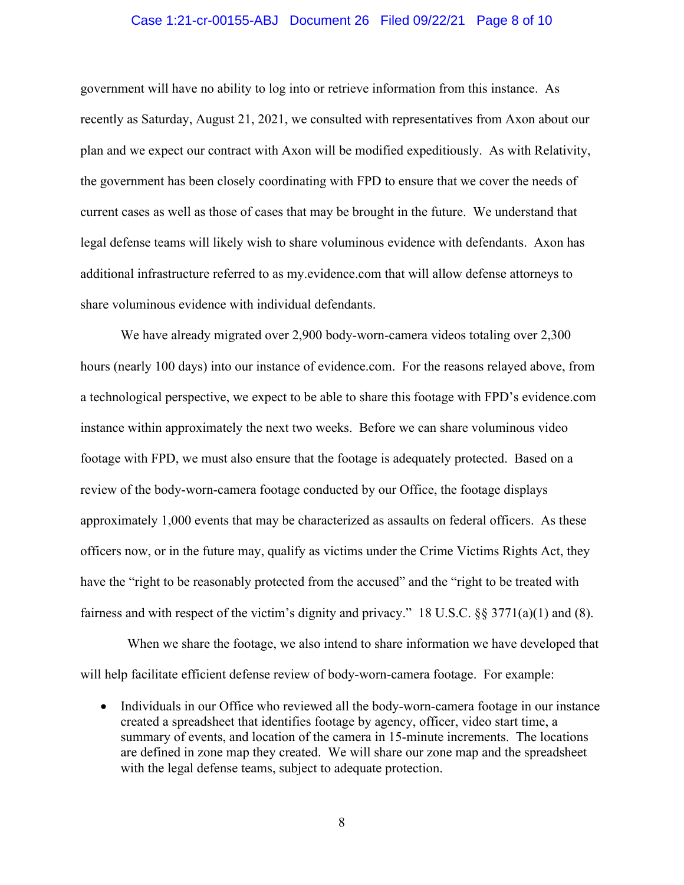#### Case 1:21-cr-00155-ABJ Document 26 Filed 09/22/21 Page 8 of 10

government will have no ability to log into or retrieve information from this instance. As recently as Saturday, August 21, 2021, we consulted with representatives from Axon about our plan and we expect our contract with Axon will be modified expeditiously. As with Relativity, the government has been closely coordinating with FPD to ensure that we cover the needs of current cases as well as those of cases that may be brought in the future. We understand that legal defense teams will likely wish to share voluminous evidence with defendants. Axon has additional infrastructure referred to as my.evidence.com that will allow defense attorneys to share voluminous evidence with individual defendants.

We have already migrated over 2,900 body-worn-camera videos totaling over 2,300 hours (nearly 100 days) into our instance of evidence.com. For the reasons relayed above, from a technological perspective, we expect to be able to share this footage with FPD's evidence.com instance within approximately the next two weeks. Before we can share voluminous video footage with FPD, we must also ensure that the footage is adequately protected. Based on a review of the body-worn-camera footage conducted by our Office, the footage displays approximately 1,000 events that may be characterized as assaults on federal officers. As these officers now, or in the future may, qualify as victims under the Crime Victims Rights Act, they have the "right to be reasonably protected from the accused" and the "right to be treated with fairness and with respect of the victim's dignity and privacy." 18 U.S.C. §§ 3771(a)(1) and (8).

 When we share the footage, we also intend to share information we have developed that will help facilitate efficient defense review of body-worn-camera footage. For example:

• Individuals in our Office who reviewed all the body-worn-camera footage in our instance created a spreadsheet that identifies footage by agency, officer, video start time, a summary of events, and location of the camera in 15-minute increments. The locations are defined in zone map they created. We will share our zone map and the spreadsheet with the legal defense teams, subject to adequate protection.

8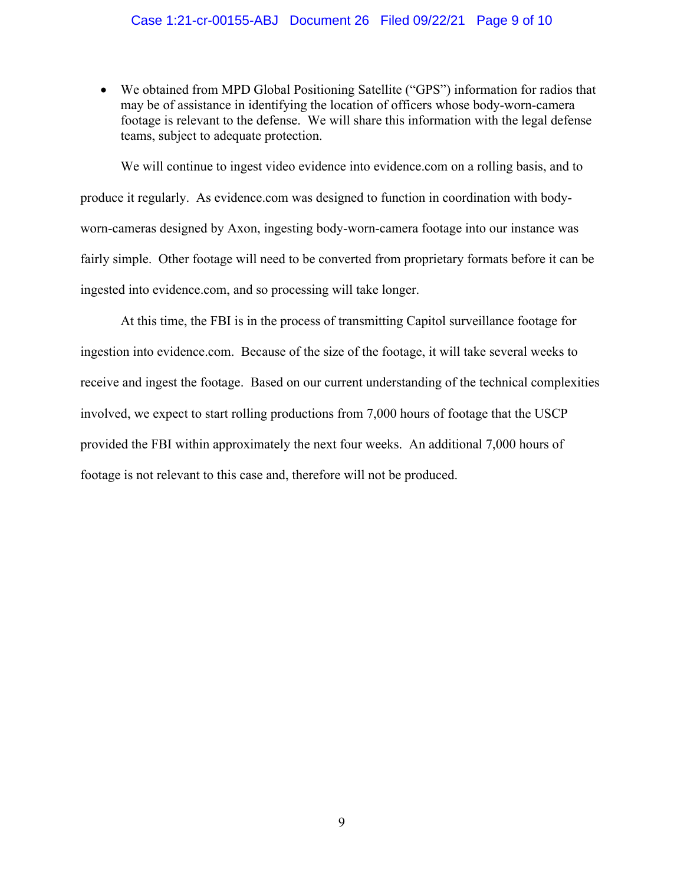### Case 1:21-cr-00155-ABJ Document 26 Filed 09/22/21 Page 9 of 10

• We obtained from MPD Global Positioning Satellite ("GPS") information for radios that may be of assistance in identifying the location of officers whose body-worn-camera footage is relevant to the defense. We will share this information with the legal defense teams, subject to adequate protection.

We will continue to ingest video evidence into evidence.com on a rolling basis, and to produce it regularly. As evidence.com was designed to function in coordination with bodyworn-cameras designed by Axon, ingesting body-worn-camera footage into our instance was fairly simple. Other footage will need to be converted from proprietary formats before it can be ingested into evidence.com, and so processing will take longer.

At this time, the FBI is in the process of transmitting Capitol surveillance footage for ingestion into evidence.com. Because of the size of the footage, it will take several weeks to receive and ingest the footage. Based on our current understanding of the technical complexities involved, we expect to start rolling productions from 7,000 hours of footage that the USCP provided the FBI within approximately the next four weeks. An additional 7,000 hours of footage is not relevant to this case and, therefore will not be produced.